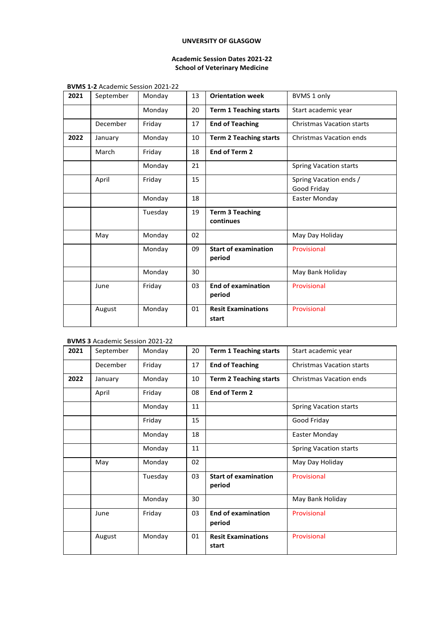## **UNVERSITY OF GLASGOW**

## **Academic Session Dates 2021-22 School of Veterinary Medicine**

**BVMS 1-2** Academic Session 2021-22

| 2021 | September | Monday  | 13 | <b>Orientation week</b>               | <b>BVMS 1 only</b>                    |
|------|-----------|---------|----|---------------------------------------|---------------------------------------|
|      |           | Monday  | 20 | <b>Term 1 Teaching starts</b>         | Start academic year                   |
|      | December  | Friday  | 17 | <b>End of Teaching</b>                | <b>Christmas Vacation starts</b>      |
| 2022 | January   | Monday  | 10 | <b>Term 2 Teaching starts</b>         | <b>Christmas Vacation ends</b>        |
|      | March     | Friday  | 18 | End of Term 2                         |                                       |
|      |           | Monday  | 21 |                                       | <b>Spring Vacation starts</b>         |
|      | April     | Friday  | 15 |                                       | Spring Vacation ends /<br>Good Friday |
|      |           | Monday  | 18 |                                       | Easter Monday                         |
|      |           | Tuesday | 19 | <b>Term 3 Teaching</b><br>continues   |                                       |
|      | May       | Monday  | 02 |                                       | May Day Holiday                       |
|      |           | Monday  | 09 | <b>Start of examination</b><br>period | Provisional                           |
|      |           | Monday  | 30 |                                       | May Bank Holiday                      |
|      | June      | Friday  | 03 | <b>End of examination</b><br>period   | Provisional                           |
|      | August    | Monday  | 01 | <b>Resit Examinations</b><br>start    | Provisional                           |

## **BVMS 3** Academic Session 2021-22

| 2021 | September | Monday  | 20 | <b>Term 1 Teaching starts</b>         | Start academic year              |
|------|-----------|---------|----|---------------------------------------|----------------------------------|
|      | December  | Friday  | 17 | <b>End of Teaching</b>                | <b>Christmas Vacation starts</b> |
| 2022 | January   | Monday  | 10 | <b>Term 2 Teaching starts</b>         | Christmas Vacation ends          |
|      | April     | Friday  | 08 | End of Term 2                         |                                  |
|      |           | Monday  | 11 |                                       | <b>Spring Vacation starts</b>    |
|      |           | Friday  | 15 |                                       | Good Friday                      |
|      |           | Monday  | 18 |                                       | Easter Monday                    |
|      |           | Monday  | 11 |                                       | <b>Spring Vacation starts</b>    |
|      | May       | Monday  | 02 |                                       | May Day Holiday                  |
|      |           | Tuesday | 03 | <b>Start of examination</b><br>period | Provisional                      |
|      |           | Monday  | 30 |                                       | May Bank Holiday                 |
|      | June      | Friday  | 03 | <b>End of examination</b><br>period   | Provisional                      |
|      | August    | Monday  | 01 | <b>Resit Examinations</b><br>start    | Provisional                      |